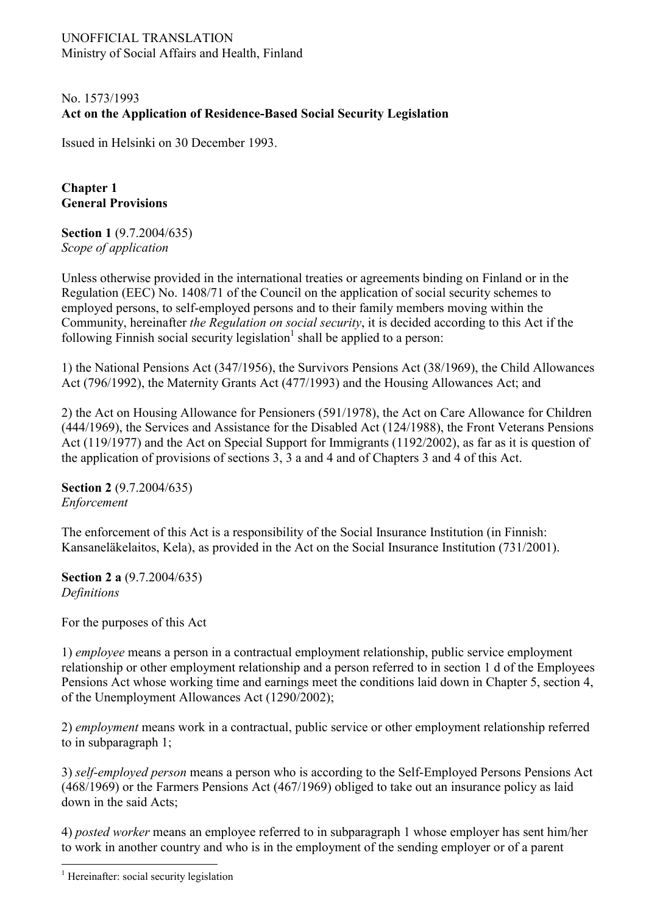### UNOFFICIAL TRANSLATION Ministry of Social Affairs and Health, Finland

# No. 1573/1993 **Act on the Application of Residence-Based Social Security Legislation**

Issued in Helsinki on 30 December 1993.

**Chapter 1 General Provisions** 

**Section 1** (9.7.2004/635) *Scope of application* 

Unless otherwise provided in the international treaties or agreements binding on Finland or in the Regulation (EEC) No. 1408/71 of the Council on the application of social security schemes to employed persons, to self-employed persons and to their family members moving within the Community, hereinafter *the Regulation on social security*, it is decided according to this Act if the following Finnish social security legislation<sup>1</sup> shall be applied to a person:

1) the National Pensions Act (347/1956), the Survivors Pensions Act (38/1969), the Child Allowances Act (796/1992), the Maternity Grants Act (477/1993) and the Housing Allowances Act; and

2) the Act on Housing Allowance for Pensioners (591/1978), the Act on Care Allowance for Children (444/1969), the Services and Assistance for the Disabled Act (124/1988), the Front Veterans Pensions Act (119/1977) and the Act on Special Support for Immigrants (1192/2002), as far as it is question of the application of provisions of sections 3, 3 a and 4 and of Chapters 3 and 4 of this Act.

**Section 2** (9.7.2004/635) *Enforcement* 

The enforcement of this Act is a responsibility of the Social Insurance Institution (in Finnish: Kansaneläkelaitos, Kela), as provided in the Act on the Social Insurance Institution (731/2001).

**Section 2 a** (9.7.2004/635) *Definitions* 

For the purposes of this Act

1) *employee* means a person in a contractual employment relationship, public service employment relationship or other employment relationship and a person referred to in section 1 d of the Employees Pensions Act whose working time and earnings meet the conditions laid down in Chapter 5, section 4, of the Unemployment Allowances Act (1290/2002);

2) *employment* means work in a contractual, public service or other employment relationship referred to in subparagraph 1;

3) *self-employed person* means a person who is according to the Self-Employed Persons Pensions Act (468/1969) or the Farmers Pensions Act (467/1969) obliged to take out an insurance policy as laid down in the said Acts;

4) *posted worker* means an employee referred to in subparagraph 1 whose employer has sent him/her to work in another country and who is in the employment of the sending employer or of a parent

 $\overline{a}$ 

<span id="page-0-0"></span><sup>&</sup>lt;sup>1</sup> Hereinafter: social security legislation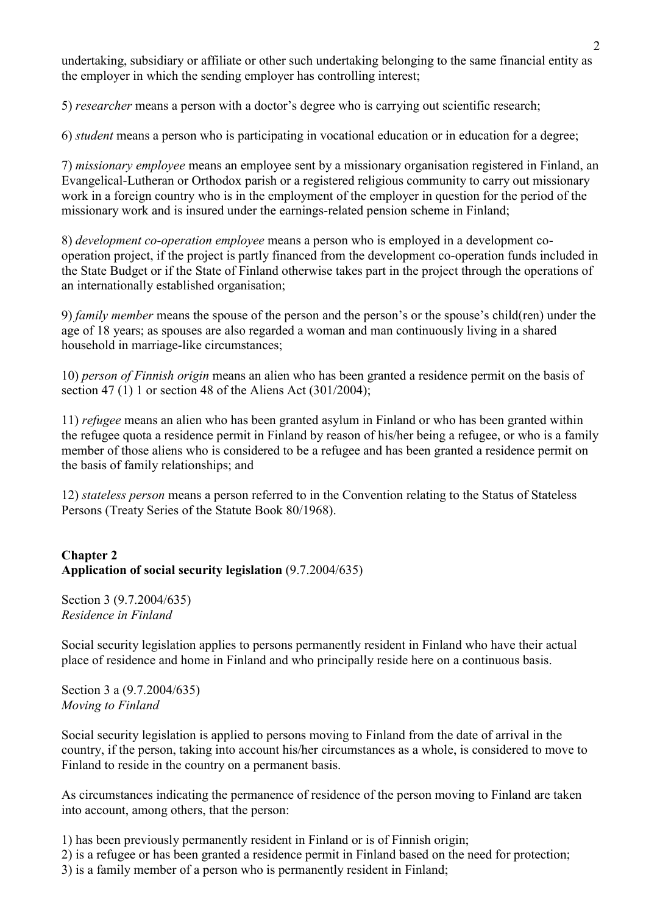undertaking, subsidiary or affiliate or other such undertaking belonging to the same financial entity as the employer in which the sending employer has controlling interest;

5) *researcher* means a person with a doctor's degree who is carrying out scientific research;

6) *student* means a person who is participating in vocational education or in education for a degree;

7) *missionary employee* means an employee sent by a missionary organisation registered in Finland, an Evangelical-Lutheran or Orthodox parish or a registered religious community to carry out missionary work in a foreign country who is in the employment of the employer in question for the period of the missionary work and is insured under the earnings-related pension scheme in Finland;

8) *development co-operation employee* means a person who is employed in a development cooperation project, if the project is partly financed from the development co-operation funds included in the State Budget or if the State of Finland otherwise takes part in the project through the operations of an internationally established organisation;

9) *family member* means the spouse of the person and the person's or the spouse's child(ren) under the age of 18 years; as spouses are also regarded a woman and man continuously living in a shared household in marriage-like circumstances;

10) *person of Finnish origin* means an alien who has been granted a residence permit on the basis of section 47 (1) 1 or section 48 of the Aliens Act (301/2004);

11) *refugee* means an alien who has been granted asylum in Finland or who has been granted within the refugee quota a residence permit in Finland by reason of his/her being a refugee, or who is a family member of those aliens who is considered to be a refugee and has been granted a residence permit on the basis of family relationships; and

12) *stateless person* means a person referred to in the Convention relating to the Status of Stateless Persons (Treaty Series of the Statute Book 80/1968).

# **Chapter 2 Application of social security legislation** (9.7.2004/635)

Section 3 (9.7.2004/635) *Residence in Finland* 

Social security legislation applies to persons permanently resident in Finland who have their actual place of residence and home in Finland and who principally reside here on a continuous basis.

Section 3 a (9.7.2004/635) *Moving to Finland* 

Social security legislation is applied to persons moving to Finland from the date of arrival in the country, if the person, taking into account his/her circumstances as a whole, is considered to move to Finland to reside in the country on a permanent basis.

As circumstances indicating the permanence of residence of the person moving to Finland are taken into account, among others, that the person:

1) has been previously permanently resident in Finland or is of Finnish origin;

2) is a refugee or has been granted a residence permit in Finland based on the need for protection;

3) is a family member of a person who is permanently resident in Finland;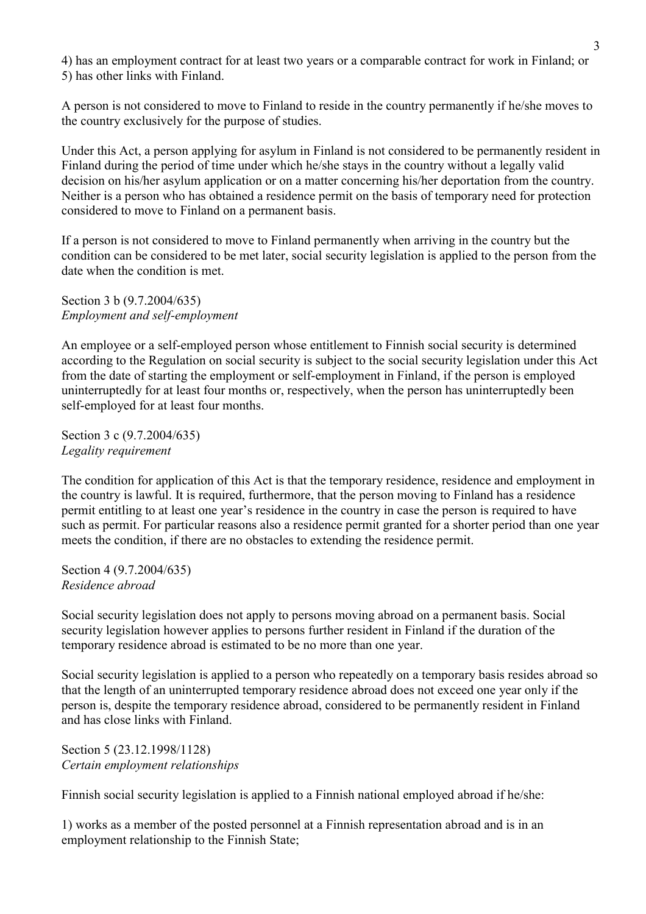4) has an employment contract for at least two years or a comparable contract for work in Finland; or 5) has other links with Finland.

A person is not considered to move to Finland to reside in the country permanently if he/she moves to the country exclusively for the purpose of studies.

Under this Act, a person applying for asylum in Finland is not considered to be permanently resident in Finland during the period of time under which he/she stays in the country without a legally valid decision on his/her asylum application or on a matter concerning his/her deportation from the country. Neither is a person who has obtained a residence permit on the basis of temporary need for protection considered to move to Finland on a permanent basis.

If a person is not considered to move to Finland permanently when arriving in the country but the condition can be considered to be met later, social security legislation is applied to the person from the date when the condition is met.

Section 3 b (9.7.2004/635) *Employment and self-employment* 

An employee or a self-employed person whose entitlement to Finnish social security is determined according to the Regulation on social security is subject to the social security legislation under this Act from the date of starting the employment or self-employment in Finland, if the person is employed uninterruptedly for at least four months or, respectively, when the person has uninterruptedly been self-employed for at least four months.

Section 3 c (9.7.2004/635) *Legality requirement* 

The condition for application of this Act is that the temporary residence, residence and employment in the country is lawful. It is required, furthermore, that the person moving to Finland has a residence permit entitling to at least one year's residence in the country in case the person is required to have such as permit. For particular reasons also a residence permit granted for a shorter period than one year meets the condition, if there are no obstacles to extending the residence permit.

Section 4 (9.7.2004/635) *Residence abroad* 

Social security legislation does not apply to persons moving abroad on a permanent basis. Social security legislation however applies to persons further resident in Finland if the duration of the temporary residence abroad is estimated to be no more than one year.

Social security legislation is applied to a person who repeatedly on a temporary basis resides abroad so that the length of an uninterrupted temporary residence abroad does not exceed one year only if the person is, despite the temporary residence abroad, considered to be permanently resident in Finland and has close links with Finland.

Section 5 (23.12.1998/1128) *Certain employment relationships* 

Finnish social security legislation is applied to a Finnish national employed abroad if he/she:

1) works as a member of the posted personnel at a Finnish representation abroad and is in an employment relationship to the Finnish State;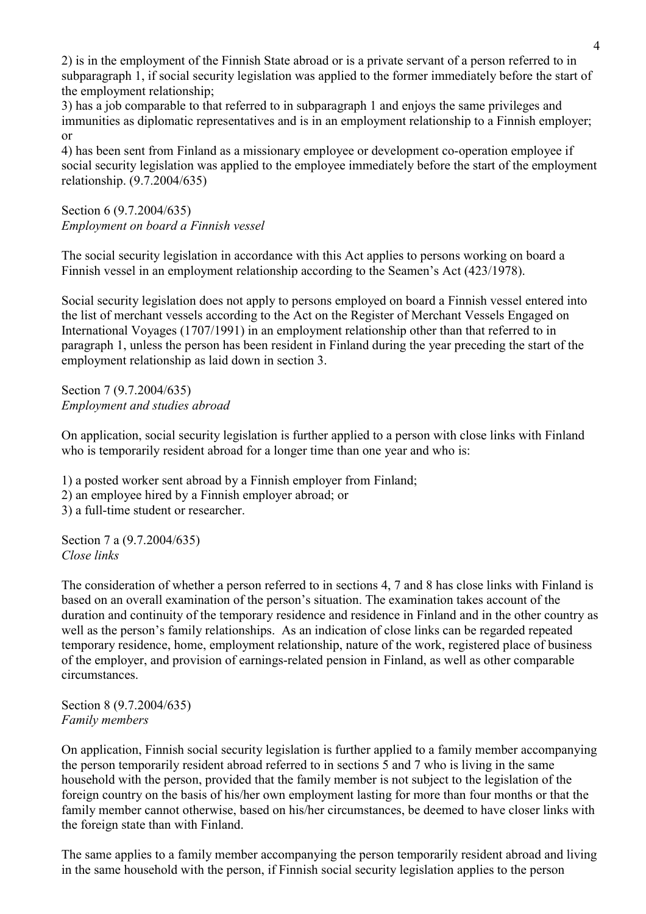2) is in the employment of the Finnish State abroad or is a private servant of a person referred to in subparagraph 1, if social security legislation was applied to the former immediately before the start of the employment relationship;

3) has a job comparable to that referred to in subparagraph 1 and enjoys the same privileges and immunities as diplomatic representatives and is in an employment relationship to a Finnish employer; or

4) has been sent from Finland as a missionary employee or development co-operation employee if social security legislation was applied to the employee immediately before the start of the employment relationship. (9.7.2004/635)

Section 6 (9.7.2004/635) *Employment on board a Finnish vessel* 

The social security legislation in accordance with this Act applies to persons working on board a Finnish vessel in an employment relationship according to the Seamen's Act (423/1978).

Social security legislation does not apply to persons employed on board a Finnish vessel entered into the list of merchant vessels according to the Act on the Register of Merchant Vessels Engaged on International Voyages (1707/1991) in an employment relationship other than that referred to in paragraph 1, unless the person has been resident in Finland during the year preceding the start of the employment relationship as laid down in section 3.

Section 7 (9.7.2004/635) *Employment and studies abroad* 

On application, social security legislation is further applied to a person with close links with Finland who is temporarily resident abroad for a longer time than one year and who is:

1) a posted worker sent abroad by a Finnish employer from Finland;

2) an employee hired by a Finnish employer abroad; or

3) a full-time student or researcher.

Section 7 a (9.7.2004/635) *Close links* 

The consideration of whether a person referred to in sections 4, 7 and 8 has close links with Finland is based on an overall examination of the person's situation. The examination takes account of the duration and continuity of the temporary residence and residence in Finland and in the other country as well as the person's family relationships. As an indication of close links can be regarded repeated temporary residence, home, employment relationship, nature of the work, registered place of business of the employer, and provision of earnings-related pension in Finland, as well as other comparable circumstances.

Section 8 (9.7.2004/635) *Family members* 

On application, Finnish social security legislation is further applied to a family member accompanying the person temporarily resident abroad referred to in sections 5 and 7 who is living in the same household with the person, provided that the family member is not subject to the legislation of the foreign country on the basis of his/her own employment lasting for more than four months or that the family member cannot otherwise, based on his/her circumstances, be deemed to have closer links with the foreign state than with Finland.

The same applies to a family member accompanying the person temporarily resident abroad and living in the same household with the person, if Finnish social security legislation applies to the person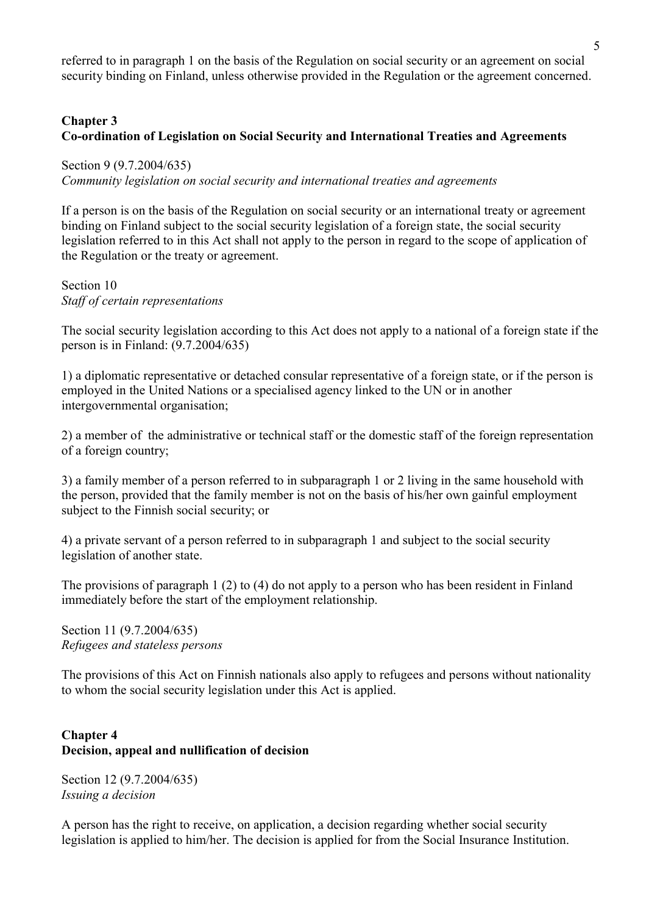referred to in paragraph 1 on the basis of the Regulation on social security or an agreement on social security binding on Finland, unless otherwise provided in the Regulation or the agreement concerned.

# **Chapter 3 Co-ordination of Legislation on Social Security and International Treaties and Agreements**

Section 9 (9.7.2004/635) *Community legislation on social security and international treaties and agreements* 

If a person is on the basis of the Regulation on social security or an international treaty or agreement binding on Finland subject to the social security legislation of a foreign state, the social security legislation referred to in this Act shall not apply to the person in regard to the scope of application of the Regulation or the treaty or agreement.

# Section 10 *Staff of certain representations*

The social security legislation according to this Act does not apply to a national of a foreign state if the person is in Finland: (9.7.2004/635)

1) a diplomatic representative or detached consular representative of a foreign state, or if the person is employed in the United Nations or a specialised agency linked to the UN or in another intergovernmental organisation;

2) a member of the administrative or technical staff or the domestic staff of the foreign representation of a foreign country;

3) a family member of a person referred to in subparagraph 1 or 2 living in the same household with the person, provided that the family member is not on the basis of his/her own gainful employment subject to the Finnish social security; or

4) a private servant of a person referred to in subparagraph 1 and subject to the social security legislation of another state.

The provisions of paragraph 1 (2) to (4) do not apply to a person who has been resident in Finland immediately before the start of the employment relationship.

Section 11 (9.7.2004/635) *Refugees and stateless persons* 

The provisions of this Act on Finnish nationals also apply to refugees and persons without nationality to whom the social security legislation under this Act is applied.

### **Chapter 4 Decision, appeal and nullification of decision**

Section 12 (9.7.2004/635) *Issuing a decision* 

A person has the right to receive, on application, a decision regarding whether social security legislation is applied to him/her. The decision is applied for from the Social Insurance Institution.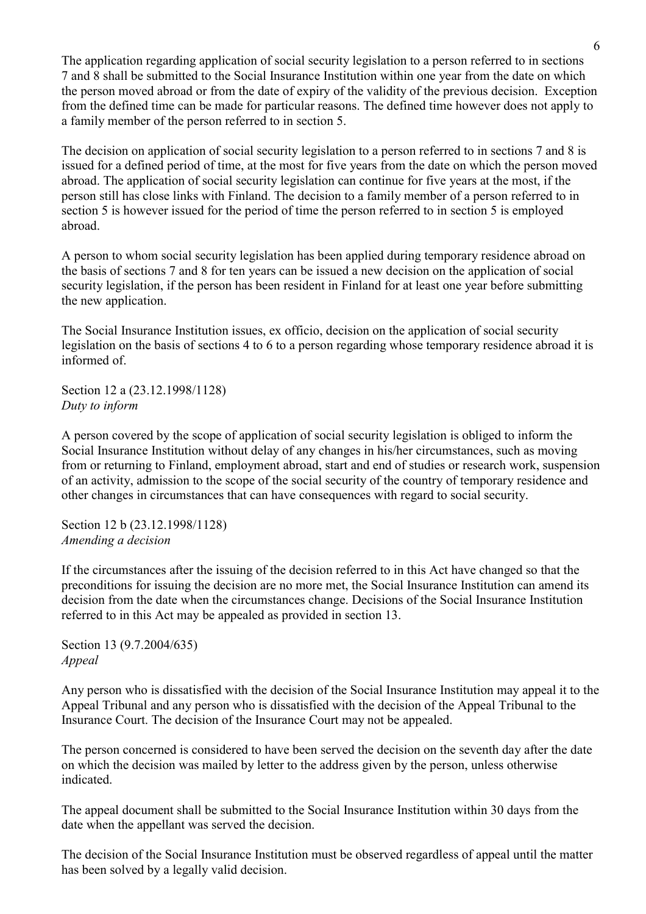The application regarding application of social security legislation to a person referred to in sections 7 and 8 shall be submitted to the Social Insurance Institution within one year from the date on which the person moved abroad or from the date of expiry of the validity of the previous decision. Exception from the defined time can be made for particular reasons. The defined time however does not apply to a family member of the person referred to in section 5.

The decision on application of social security legislation to a person referred to in sections 7 and 8 is issued for a defined period of time, at the most for five years from the date on which the person moved abroad. The application of social security legislation can continue for five years at the most, if the person still has close links with Finland. The decision to a family member of a person referred to in section 5 is however issued for the period of time the person referred to in section 5 is employed abroad.

A person to whom social security legislation has been applied during temporary residence abroad on the basis of sections 7 and 8 for ten years can be issued a new decision on the application of social security legislation, if the person has been resident in Finland for at least one year before submitting the new application.

The Social Insurance Institution issues, ex officio, decision on the application of social security legislation on the basis of sections 4 to 6 to a person regarding whose temporary residence abroad it is informed of.

Section 12 a (23.12.1998/1128) *Duty to inform* 

A person covered by the scope of application of social security legislation is obliged to inform the Social Insurance Institution without delay of any changes in his/her circumstances, such as moving from or returning to Finland, employment abroad, start and end of studies or research work, suspension of an activity, admission to the scope of the social security of the country of temporary residence and other changes in circumstances that can have consequences with regard to social security.

Section 12 b (23.12.1998/1128) *Amending a decision* 

If the circumstances after the issuing of the decision referred to in this Act have changed so that the preconditions for issuing the decision are no more met, the Social Insurance Institution can amend its decision from the date when the circumstances change. Decisions of the Social Insurance Institution referred to in this Act may be appealed as provided in section 13.

Section 13 (9.7.2004/635) *Appeal* 

Any person who is dissatisfied with the decision of the Social Insurance Institution may appeal it to the Appeal Tribunal and any person who is dissatisfied with the decision of the Appeal Tribunal to the Insurance Court. The decision of the Insurance Court may not be appealed.

The person concerned is considered to have been served the decision on the seventh day after the date on which the decision was mailed by letter to the address given by the person, unless otherwise indicated.

The appeal document shall be submitted to the Social Insurance Institution within 30 days from the date when the appellant was served the decision.

The decision of the Social Insurance Institution must be observed regardless of appeal until the matter has been solved by a legally valid decision.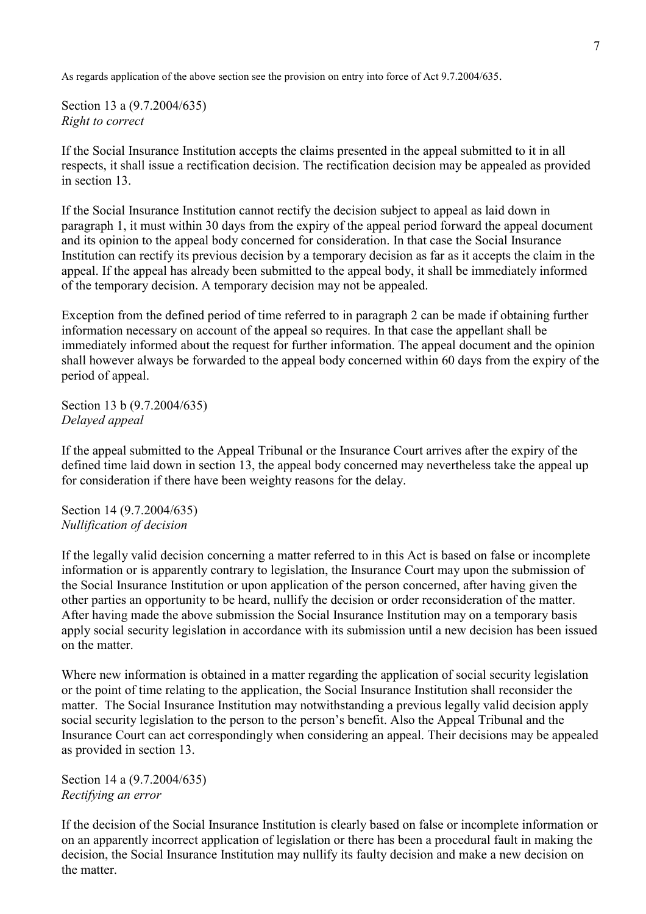As regards application of the above section see the provision on entry into force of Act 9.7.2004/635.

Section 13 a (9.7.2004/635) *Right to correct* 

If the Social Insurance Institution accepts the claims presented in the appeal submitted to it in all respects, it shall issue a rectification decision. The rectification decision may be appealed as provided in section 13.

If the Social Insurance Institution cannot rectify the decision subject to appeal as laid down in paragraph 1, it must within 30 days from the expiry of the appeal period forward the appeal document and its opinion to the appeal body concerned for consideration. In that case the Social Insurance Institution can rectify its previous decision by a temporary decision as far as it accepts the claim in the appeal. If the appeal has already been submitted to the appeal body, it shall be immediately informed of the temporary decision. A temporary decision may not be appealed.

Exception from the defined period of time referred to in paragraph 2 can be made if obtaining further information necessary on account of the appeal so requires. In that case the appellant shall be immediately informed about the request for further information. The appeal document and the opinion shall however always be forwarded to the appeal body concerned within 60 days from the expiry of the period of appeal.

Section 13 b (9.7.2004/635) *Delayed appeal* 

If the appeal submitted to the Appeal Tribunal or the Insurance Court arrives after the expiry of the defined time laid down in section 13, the appeal body concerned may nevertheless take the appeal up for consideration if there have been weighty reasons for the delay.

Section 14 (9.7.2004/635) *Nullification of decision* 

If the legally valid decision concerning a matter referred to in this Act is based on false or incomplete information or is apparently contrary to legislation, the Insurance Court may upon the submission of the Social Insurance Institution or upon application of the person concerned, after having given the other parties an opportunity to be heard, nullify the decision or order reconsideration of the matter. After having made the above submission the Social Insurance Institution may on a temporary basis apply social security legislation in accordance with its submission until a new decision has been issued on the matter.

Where new information is obtained in a matter regarding the application of social security legislation or the point of time relating to the application, the Social Insurance Institution shall reconsider the matter. The Social Insurance Institution may notwithstanding a previous legally valid decision apply social security legislation to the person to the person's benefit. Also the Appeal Tribunal and the Insurance Court can act correspondingly when considering an appeal. Their decisions may be appealed as provided in section 13.

Section 14 a (9.7.2004/635) *Rectifying an error* 

If the decision of the Social Insurance Institution is clearly based on false or incomplete information or on an apparently incorrect application of legislation or there has been a procedural fault in making the decision, the Social Insurance Institution may nullify its faulty decision and make a new decision on the matter.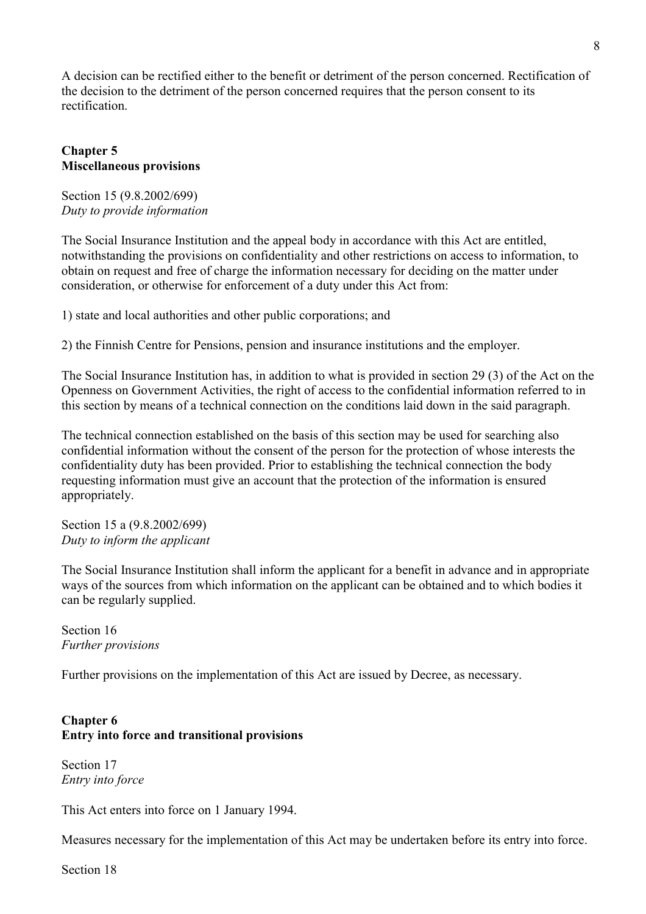A decision can be rectified either to the benefit or detriment of the person concerned. Rectification of the decision to the detriment of the person concerned requires that the person consent to its rectification.

#### **Chapter 5 Miscellaneous provisions**

Section 15 (9.8.2002/699) *Duty to provide information* 

The Social Insurance Institution and the appeal body in accordance with this Act are entitled, notwithstanding the provisions on confidentiality and other restrictions on access to information, to obtain on request and free of charge the information necessary for deciding on the matter under consideration, or otherwise for enforcement of a duty under this Act from:

1) state and local authorities and other public corporations; and

2) the Finnish Centre for Pensions, pension and insurance institutions and the employer.

The Social Insurance Institution has, in addition to what is provided in section 29 (3) of the Act on the Openness on Government Activities, the right of access to the confidential information referred to in this section by means of a technical connection on the conditions laid down in the said paragraph.

The technical connection established on the basis of this section may be used for searching also confidential information without the consent of the person for the protection of whose interests the confidentiality duty has been provided. Prior to establishing the technical connection the body requesting information must give an account that the protection of the information is ensured appropriately.

Section 15 a (9.8.2002/699) *Duty to inform the applicant* 

The Social Insurance Institution shall inform the applicant for a benefit in advance and in appropriate ways of the sources from which information on the applicant can be obtained and to which bodies it can be regularly supplied.

Section 16 *Further provisions* 

Further provisions on the implementation of this Act are issued by Decree, as necessary.

### **Chapter 6 Entry into force and transitional provisions**

Section 17 *Entry into force* 

This Act enters into force on 1 January 1994.

Measures necessary for the implementation of this Act may be undertaken before its entry into force.

Section 18